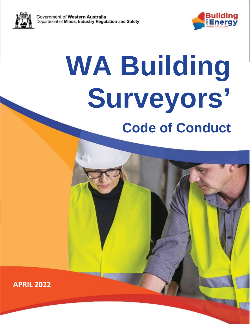

# **Surveyors' April 2022 Code of Conduct WA Building**

**APRIL 2022**

V1.0 issued 08 April 2022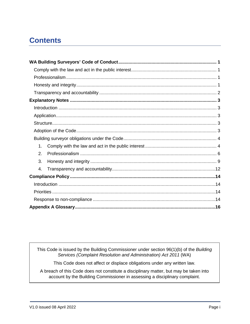# **Contents**

| 1. |  |
|----|--|
| 2. |  |
| 3. |  |
| 4. |  |
|    |  |
|    |  |
|    |  |
|    |  |
|    |  |

This Code is issued by the Building Commissioner under section 96(1)(b) of the Building Services (Complaint Resolution and Administration) Act 2011 (WA)

This Code does not affect or displace obligations under any written law.

A breach of this Code does not constitute a disciplinary matter, but may be taken into account by the Building Commissioner in assessing a disciplinary complaint.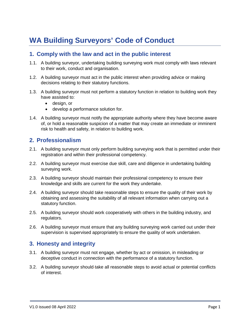# <span id="page-2-0"></span>**WA Building Surveyors' Code of Conduct**

# <span id="page-2-1"></span>**1. Comply with the law and act in the public interest**

- 1.1. A building surveyor, undertaking building surveying work must comply with laws relevant to their work, conduct and organisation.
- 1.2. A building surveyor must act in the public interest when providing advice or making decisions relating to their statutory functions.
- 1.3. A building surveyor must not perform a statutory function in relation to building work they have assisted to:
	- design, or
	- develop a performance solution for.
- 1.4. A building surveyor must notify the appropriate authority where they have become aware of, or hold a reasonable suspicion of a matter that may create an immediate or imminent risk to health and safety, in relation to building work.

## <span id="page-2-2"></span>**2. Professionalism**

- 2.1. A building surveyor must only perform building surveying work that is permitted under their registration and within their professional competency.
- 2.2. A building surveyor must exercise due skill, care and diligence in undertaking building surveying work.
- 2.3. A building surveyor should maintain their professional competency to ensure their knowledge and skills are current for the work they undertake.
- 2.4. A building surveyor should take reasonable steps to ensure the quality of their work by obtaining and assessing the suitability of all relevant information when carrying out a statutory function.
- 2.5. A building surveyor should work cooperatively with others in the building industry, and regulators.
- 2.6. A building surveyor must ensure that any building surveying work carried out under their supervision is supervised appropriately to ensure the quality of work undertaken.

# <span id="page-2-3"></span>**3. Honesty and integrity**

- 3.1. A building surveyor must not engage, whether by act or omission, in misleading or deceptive conduct in connection with the performance of a statutory function.
- 3.2. A building surveyor should-take all reasonable steps to avoid actual or potential conflicts of interest.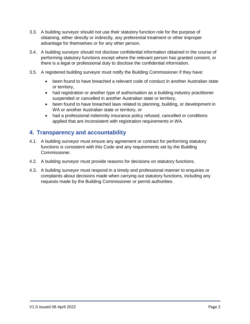- 3.3. A building surveyor should not use their statutory function role for the purpose of obtaining, either directly or indirectly, any preferential treatment or other improper advantage for themselves or for any other person.
- 3.4. A building surveyor should not disclose confidential information obtained in the course of performing statutory functions except where the relevant person has granted consent, or there is a legal or professional duty to disclose the confidential information.
- 3.5. A registered building surveyor must notify the Building Commissioner if they have:
	- been found to have breached a relevant code of conduct in another Australian state or territory,
	- had registration or another type of authorisation as a building industry practitioner suspended or cancelled in another Australian state or territory,
	- been found to have breached laws related to planning, building, or development in WA or another Australian state or territory, or
	- had a professional indemnity insurance policy refused, cancelled or conditions applied that are inconsistent with registration requirements in WA.

## <span id="page-3-0"></span>**4. Transparency and accountability**

- 4.1. A building surveyor must ensure any agreement or contract for performing statutory functions is consistent with this Code and any requirements set by the Building Commissioner.
- 4.2. A building surveyor must provide reasons for decisions on statutory functions.
- 4.3. A building surveyor must respond in a timely and professional manner to enquiries or complaints about decisions made when carrying out statutory functions, including any requests made by the Building Commissioner or permit authorities.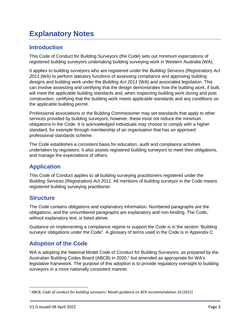# <span id="page-4-0"></span>**Explanatory Notes**

# <span id="page-4-1"></span>**Introduction**

This Code of Conduct for Building Surveyors (the Code) sets out minimum expectations of registered building surveyors undertaking building surveying work in Western Australia (WA).

It applies to building surveyors who are registered under the *Building Services (Registration) Act 2011* (WA) to perform statutory functions of assessing compliance and approving building designs and building work under the *Building Act 2011* (WA) and associated legislation. This can involve assessing and certifying that the design demonstrates how the building work, if built, will meet the applicable building standards and, when inspecting building work during and post construction, certifying that the building work meets applicable standards and any conditions on the applicable building permit.

Professional associations or the Building Commissioner may set standards that apply to other services provided by building surveyors, however, these must not reduce the minimum obligations in the Code. It is acknowledged individuals may choose to comply with a higher standard, for example through membership of an organisation that has an approved professional standards scheme.

The Code establishes a consistent basis for education, audit and compliance activities undertaken by regulators. It also assists registered building surveyors to meet their obligations, and manage the expectations of others.

# <span id="page-4-2"></span>**Application**

This Code of Conduct applies to all building surveying practitioners registered under the *Building Services (Registration) Act 2011*. All mentions of building surveyor in the Code means registered building surveying practitioner.

# <span id="page-4-3"></span>**Structure**

The Code contains obligations and explanatory information. Numbered paragraphs are the obligations, and the unnumbered paragraphs are explanatory and non-binding. The Code, without explanatory text, is listed above.

Guidance on implementing a compliance regime to support the Code is in the section "Building surveyor obligations under the Code". A glossary of terms used in the Code is in Appendix C.

# <span id="page-4-4"></span>**Adoption of the Code**

WA is adopting the National Model Code of Conduct for Building Surveyors, as prepared by the Australian Building Codes Board (ABCB) in 2020,<sup>1</sup> but amended as appropriate for WA's legislative framework. The purpose of this adoption is to provide regulatory oversight to building surveyors in a more nationally consistent manner.

<span id="page-4-5"></span> <sup>1</sup> ABCB, *Code of conduct for building surveyors: Model guidance on BCR recommendation 10* (2021)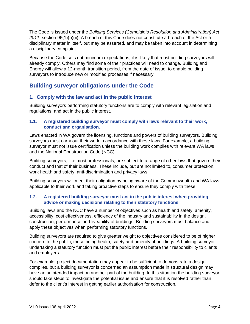The Code is issued under the *Building Services (Complaints Resolution and Administration) Act 2011*, section 96(1)(b)(ii). A breach of this Code does not constitute a breach of the Act or a disciplinary matter in itself, but may be asserted, and may be taken into account in determining a disciplinary complaint.

Because the Code sets out minimum expectations, it is likely that most building surveyors will already comply. Others may find some of their practices will need to change. Building and Energy will allow a 12-month transition period, from the date of issue, to enable building surveyors to introduce new or modified processes if necessary.

# <span id="page-5-0"></span>**Building surveyor obligations under the Code**

### <span id="page-5-1"></span>**1. Comply with the law and act in the public interest**

Building surveyors performing statutory functions are to comply with relevant legislation and regulations, and act in the public interest.

#### **1.1. A registered building surveyor must comply with laws relevant to their work, conduct and organisation.**

Laws enacted in WA govern the licensing, functions and powers of building surveyors. Building surveyors must carry out their work in accordance with these laws. For example, a building surveyor must not issue certification unless the building work complies with relevant WA laws and the National Construction Code (NCC).

Building surveyors, like most professionals, are subject to a range of other laws that govern their conduct and that of their business. These include, but are not limited to, consumer protection, work health and safety, anti-discrimination and privacy laws.

Building surveyors will meet their obligation by being aware of the Commonwealth and WA laws applicable to their work and taking proactive steps to ensure they comply with these.

#### **1.2. A registered building surveyor must act in the public interest when providing advice or making decisions relating to their statutory functions.**

Building laws and the NCC have a number of objectives such as health and safety, amenity, accessibility, cost effectiveness, efficiency of the industry and sustainability in the design, construction, performance and liveability of buildings. Building surveyors must balance and apply these objectives when performing statutory functions.

Building surveyors are required to give greater weight to objectives considered to be of higher concern to the public, those being health, safety and amenity of buildings. A building surveyor undertaking a statutory function must put the public interest before their responsibility to clients and employers.

For example, project documentation may appear to be sufficient to demonstrate a design complies, but a building surveyor is concerned an assumption made in structural design may have an unintended impact on another part of the building. In this situation the building surveyor should take steps to investigate the potential issue and ensure that it is resolved rather than defer to the client's interest in getting earlier authorisation for construction.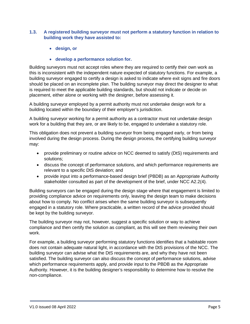#### **1.3. A registered building surveyor must not perform a statutory function in relation to building work they have assisted to:**

- **design, or**
- **develop a performance solution for.**

Building surveyors must not accept roles where they are required to certify their own work as this is inconsistent with the independent nature expected of statutory functions. For example, a building surveyor engaged to certify a design is asked to indicate where exit signs and fire doors should be placed on an incomplete plan. The building surveyor may direct the designer to what is required to meet the applicable building standards, but should not indicate or decide on placement, either alone or working with the designer, before assessing it.

A building surveyor employed by a permit authority must not undertake design work for a building located within the boundary of their employer's jurisdiction.

A building surveyor working for a permit authority as a contractor must not undertake design work for a building that they are, or are likely to be, engaged to undertake a statutory role.

This obligation does not prevent a building surveyor from being engaged early, or from being involved during the design process. During the design process, the certifying building surveyor may:

- provide preliminary or routine advice on NCC deemed to satisfy (DtS) requirements and solutions;
- discuss the concept of performance solutions, and which performance requirements are relevant to a specific DtS deviation; and
- provide input into a performance-based design brief (PBDB) as an Appropriate Authority stakeholder consulted as part of the development of the brief, under NCC A2.2(4).

Building surveyors can be engaged during the design stage where that engagement is limited to providing compliance advice on requirements only, leaving the design team to make decisions about how to comply. No conflict arises when the same building surveyor is subsequently engaged in a statutory role. Where practicable, a written record of the advice provided should be kept by the building surveyor.

The building surveyor may not, however, suggest a specific solution or way to achieve compliance and then certify the solution as compliant, as this will see them reviewing their own work.

For example, a building surveyor performing statutory functions identifies that a habitable room does not contain adequate natural light, in accordance with the DtS provisions of the NCC. The building surveyor can advise what the DtS requirements are, and why they have not been satisfied. The building surveyor can also discuss the concept of performance solutions, advise which performance requirements apply, and provide input to the PBDB as the Appropriate Authority. However, it is the building designer's responsibility to determine how to resolve the non-compliance.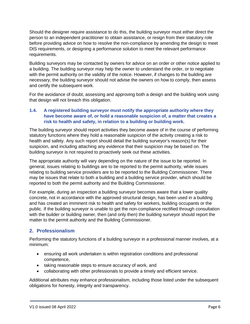Should the designer require assistance to do this, the building surveyor must either direct the person to an independent practitioner to obtain assistance, or resign from their statutory role before providing advice on how to resolve the non-compliance by amending the design to meet DtS requirements, or designing a performance solution to meet the relevant performance requirements.

Building surveyors may be contacted by owners for advice on an order or other notice applied to a building. The building surveyor may help the owner to understand the order, or to negotiate with the permit authority on the validity of the notice. However, if changes to the building are necessary, the building surveyor should not advise the owners on how to comply, then assess and certify the subsequent work.

For the avoidance of doubt, assessing and approving both a design and the building work using that design will not breach this obligation.

#### **1.4. A registered building surveyor must notify the appropriate authority where they have become aware of, or hold a reasonable suspicion of, a matter that creates a risk to health and safety, in relation to a building or building work.**

The building surveyor should report activities they become aware of in the course of performing statutory functions where they hold a reasonable suspicion of the activity creating a risk to health and safety. Any such report should detail the building surveyor's reason(s) for their suspicion, and including attaching any evidence that their suspicion may be based on. The building surveyor is not required to proactively seek out these activities.

The appropriate authority will vary depending on the nature of the issue to be reported. In general, issues relating to buildings are to be reported to the permit authority, while issues relating to building service providers are to be reported to the Building Commissioner. There may be issues that relate to both a building and a building service provider, which should be reported to both the permit authority and the Building Commissioner.

For example, during an inspection a building surveyor becomes aware that a lower quality concrete, not in accordance with the approved structural design, has been used in a building and has created an imminent risk to health and safety for workers, building occupants or the public. If the building surveyor is unable to get the non-compliance rectified through consultation with the builder or building owner, then (and only then) the building surveyor should report the matter to the permit authority and the Building Commissioner.

## <span id="page-7-0"></span>**2. Professionalism**

Performing the statutory functions of a building surveyor in a professional manner involves, at a minimum:

- ensuring all work undertaken is within registration conditions and professional competence,
- taking reasonable steps to ensure accuracy of work, and
- collaborating with other professionals to provide a timely and efficient service.

Additional attributes may enhance professionalism, including those listed under the subsequent obligations for honesty, integrity and transparency.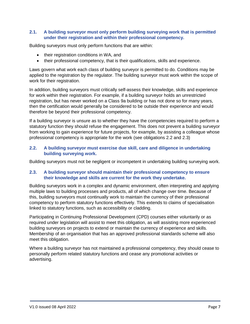#### **2.1. A building surveyor must only perform building surveying work that is permitted under their registration and within their professional competency.**

Building surveyors must only perform functions that are within:

- their registration conditions in WA, and
- their professional competency, that is their qualifications, skills and experience.

Laws govern what work each class of building surveyor is permitted to do. Conditions may be applied to the registration by the regulator. The building surveyor must work within the scope of work for their registration.

In addition, building surveyors must critically self-assess their knowledge, skills and experience for work within their registration. For example, if a building surveyor holds an unrestricted registration, but has never worked on a Class 9a building or has not done so for many years, then the certification would generally be considered to be outside their experience and would therefore be beyond their professional competency.

If a building surveyor is unsure as to whether they have the competencies required to perform a statutory function they should refuse the engagement. This does not prevent a building surveyor from working to gain experience for future projects, for example, by assisting a colleague whose professional competency is appropriate for the work (see obligations 2.2 and 2.3)

#### **2.2. A building surveyor must exercise due skill, care and diligence in undertaking building surveying work.**

Building surveyors must not be negligent or incompetent in undertaking building surveying work.

#### **2.3. A building surveyor should maintain their professional competency to ensure their knowledge and skills are current for the work they undertake.**

Building surveyors work in a complex and dynamic environment, often interpreting and applying multiple laws to building processes and products, all of which change over time. Because of this, building surveyors must continually work to maintain the currency of their professional competency to perform statutory functions effectively. This extends to claims of specialisation linked to statutory functions, such as accessibility or cladding.

Participating in Continuing Professional Development (CPD) courses either voluntarily or as required under legislation will assist to meet this obligation, as will assisting more experienced building surveyors on projects to extend or maintain the currency of experience and skills. Membership of an organisation that has an approved professional standards scheme will also meet this obligation.

Where a building surveyor has not maintained a professional competency, they should cease to personally perform related statutory functions and cease any promotional activities or advertising.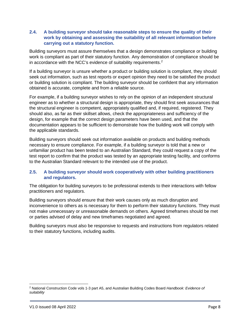#### **2.4. A building surveyor should take reasonable steps to ensure the quality of their work by obtaining and assessing the suitability of all relevant information before carrying out a statutory function.**

Building surveyors must assure themselves that a design demonstrates compliance or building work is compliant as part of their statutory function. Any demonstration of compliance should be in accordance with the NCC's evidence of suitability requirements.<sup>[2](#page-9-0)</sup>

If a building surveyor is unsure whether a product or building solution is compliant, they should seek out information, such as test reports or expert opinion they need to be satisfied the product or building solution is compliant. The building surveyor should be confident that any information obtained is accurate, complete and from a reliable source.

For example, if a building surveyor wishes to rely on the opinion of an independent structural engineer as to whether a structural design is appropriate, they should first seek assurances that the structural engineer is competent, appropriately qualified and, if required, registered. They should also, as far as their skillset allows, check the appropriateness and sufficiency of the design, for example that the correct design parameters have been used, and that the documentation appears to be sufficient to demonstrate how the building work will comply with the applicable standards.

Building surveyors should seek out information available on products and building methods necessary to ensure compliance. For example, if a building surveyor is told that a new or unfamiliar product has been tested to an Australian Standard, they could request a copy of the test report to confirm that the product was tested by an appropriate testing facility, and conforms to the Australian Standard relevant to the intended use of the product.

#### **2.5. A building surveyor should work cooperatively with other building practitioners and regulators.**

The obligation for building surveyors to be professional extends to their interactions with fellow practitioners and regulators.

Building surveyors should ensure that their work causes only as much disruption and inconvenience to others as is necessary for them to perform their statutory functions. They must not make unnecessary or unreasonable demands on others. Agreed timeframes should be met or parties advised of delay and new timeframes negotiated and agreed.

Building surveyors must also be responsive to requests and instructions from regulators related to their statutory functions, including audits.

 $\overline{a}$ 

<span id="page-9-0"></span><sup>2</sup> National Construction Code vols 1-3 part A5, and Australian Building Codes Board *Handbook: Evidence of suitability*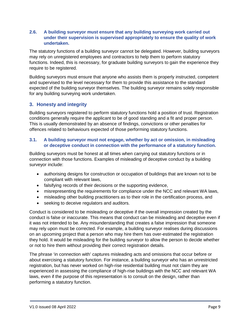#### **2.6. A building surveyor must ensure that any building surveying work carried out under their supervision is supervised appropriately to ensure the quality of work undertaken.**

The statutory functions of a building surveyor cannot be delegated. However, building surveyors may rely on unregistered employees and contractors to help them to perform statutory functions. Indeed, this is necessary, for graduate building surveyors to gain the experience they require to be registered.

Building surveyors must ensure that anyone who assists them is properly instructed, competent and supervised to the level necessary for them to provide this assistance to the standard expected of the building surveyor themselves. The building surveyor remains solely responsible for any building surveying work undertaken.

#### <span id="page-10-0"></span>**3. Honesty and integrity**

Building surveyors registered to perform statutory functions hold a position of trust. Registration conditions generally require the applicant to be of good standing and a fit and proper person. This is usually demonstrated by an absence of findings, convictions or other penalties for offences related to behaviours expected of those performing statutory functions.

#### **3.1. A building surveyor must not engage, whether by act or omission, in misleading or deceptive conduct in connection with the performance of a statutory function.**

Building surveyors must be honest at all times when carrying out statutory functions or in connection with those functions. Examples of misleading of deceptive conduct by a building surveyor include:

- authorising designs for construction or occupation of buildings that are known not to be compliant with relevant laws,
- falsifying records of their decisions or the supporting evidence,
- misrepresenting the requirements for compliance under the NCC and relevant WA laws,
- misleading other building practitioners as to their role in the certification process, and
- seeking to deceive regulators and auditors.

Conduct is considered to be misleading or deceptive if the overall impression created by the conduct is false or inaccurate. This means that conduct can be misleading and deceptive even if it was not intended to be. Any misunderstanding that creates a false impression that someone may rely upon must be corrected. For example, a building surveyor realises during discussions on an upcoming project that a person who may hire them has over-estimated the registration they hold. It would be misleading for the building surveyor to allow the person to decide whether or not to hire them without providing their correct registration details.

The phrase 'in connection with' captures misleading acts and omissions that occur before or about exercising a statutory function. For instance, a building surveyor who has an unrestricted registration, but has never worked on high-rise residential building must not claim they are experienced in assessing the compliance of high-rise buildings with the NCC and relevant WA laws, even if the purpose of this representation is to consult on the design, rather than performing a statutory function.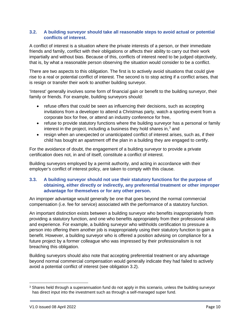#### **3.2. A building surveyor should take all reasonable steps to avoid actual or potential conflicts of interest.**

A conflict of interest is a situation where the private interests of a person, or their immediate friends and family, conflict with their obligations or affects their ability to carry out their work impartially and without bias. Because of this, conflicts of interest need to be judged objectively, that is, by what a reasonable person observing the situation would consider to be a conflict.

There are two aspects to this obligation. The first is to actively avoid situations that could give rise to a real or potential conflict of interest. The second is to stop acting if a conflict arises, that is resign or transfer their work to another building surveyor.

'Interest' generally involves some form of financial gain or benefit to the building surveyor, their family or friends. For example, building surveyors should:

- refuse offers that could be seen as influencing their decisions, such as accepting invitations from a developer to attend a Christmas party, watch a sporting event from a corporate box for free, or attend an industry conference for free,
- refuse to provide statutory functions where the building surveyor has a personal or family interest in the project, including a business they hold shares in, $3$  and
- resign when an unexpected or unanticipated conflict of interest arises, such as, if their child has bought an apartment off the plan in a building they are engaged to certify.

For the avoidance of doubt, the engagement of a building surveyor to provide a private certification does not, in and of itself, constitute a conflict of interest.

Building surveyors employed by a permit authority, and acting in accordance with their employer's conflict of interest policy, are taken to comply with this clause.

#### **3.3. A building surveyor should not use their statutory functions for the purpose of obtaining, either directly or indirectly, any preferential treatment or other improper advantage for themselves or for any other person.**

An improper advantage would generally be one that goes beyond the normal commercial compensation (i.e. fee for service) associated with the performance of a statutory function.

An important distinction exists between a building surveyor who benefits inappropriately from providing a statutory function, and one who benefits appropriately from their professional skills and experience. For example, a building surveyor who withholds certification to pressure a person into offering them another job is inappropriately using their statutory function to gain a benefit. However, a building surveyor who is offered a position advising on compliance for a future project by a former colleague who was impressed by their professionalism is not breaching this obligation.

Building surveyors should also note that accepting preferential treatment or any advantage beyond normal commercial compensation would generally indicate they had failed to actively avoid a potential conflict of interest (see obligation 3.2).

l

<span id="page-11-0"></span><sup>&</sup>lt;sup>3</sup> Shares held through a superannuation fund do not apply in this scenario, unless the building surveyor has direct input into the investment such as through a self-managed super fund.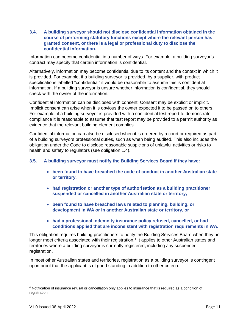**3.4. A building surveyor should not disclose confidential information obtained in the course of performing statutory functions except where the relevant person has granted consent, or there is a legal or professional duty to disclose the confidential information.**

Information can become confidential in a number of ways. For example, a building surveyor's contract may specify that certain information is confidential.

Alternatively, information may become confidential due to its content and the context in which it is provided. For example, if a building surveyor is provided, by a supplier, with product specifications labelled "confidential" it would be reasonable to assume this is confidential information. If a building surveyor is unsure whether information is confidential, they should check with the owner of the information.

Confidential information can be disclosed with consent. Consent may be explicit or implicit. Implicit consent can arise when it is obvious the owner expected it to be passed on to others. For example, if a building surveyor is provided with a confidential test report to demonstrate compliance it is reasonable to assume that test report may be provided to a permit authority as evidence that the relevant building element complies.

Confidential information can also be disclosed when it is ordered by a court or required as part of a building surveyors professional duties, such as when being audited. This also includes the obligation under the Code to disclose reasonable suspicions of unlawful activities or risks to health and safety to regulators (see obligation 1.4).

#### **3.5. A building surveyor must notify the Building Services Board if they have:**

- **been found to have breached the code of conduct in another Australian state or territory,**
- **had registration or another type of authorisation as a building practitioner suspended or cancelled in another Australian state or territory,**
- **been found to have breached laws related to planning, building, or development in WA or in another Australian state or territory, or**
- **had a professional indemnity insurance policy refused, cancelled, or had conditions applied that are inconsistent with registration requirements in WA.**

This obligation requires building practitioners to notify the Building Services Board when they no longer meet criteria associated with their registration.<sup>[4](#page-12-0)</sup> It applies to other Australian states and territories where a building surveyor is currently registered, including any suspended registration.

In most other Australian states and territories, registration as a building surveyor is contingent upon proof that the applicant is of good standing in addition to other criteria.

 $\overline{a}$ 

<span id="page-12-0"></span><sup>4</sup> Notification of insurance refusal or cancellation only applies to insurance that is required as a condition of registration.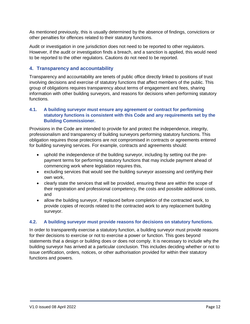As mentioned previously, this is usually determined by the absence of findings, convictions or other penalties for offences related to their statutory functions.

Audit or investigation in one jurisdiction does not need to be reported to other regulators. However, if the audit or investigation finds a breach, and a sanction is applied, this would need to be reported to the other regulators. Cautions do not need to be reported.

#### <span id="page-13-0"></span>**4. Transparency and accountability**

Transparency and accountability are tenets of public office directly linked to positions of trust involving decisions and exercise of statutory functions that affect members of the public. This group of obligations requires transparency about terms of engagement and fees, sharing information with other building surveyors, and reasons for decisions when performing statutory functions.

#### **4.1. A building surveyor must ensure any agreement or contract for performing statutory functions is consistent with this Code and any requirements set by the Building Commissioner.**

Provisions in the Code are intended to provide for and protect the independence, integrity, professionalism and transparency of building surveyors performing statutory functions. This obligation requires those protections are not compromised in contracts or agreements entered for building surveying services. For example, contracts and agreements should:

- uphold the independence of the building surveyor, including by setting out the prepayment terms for performing statutory functions that may include payment ahead of commencing work where legislation requires this,
- excluding services that would see the building surveyor assessing and certifying their own work,
- clearly state the services that will be provided, ensuring these are within the scope of their registration and professional competency, the costs and possible additional costs, and
- allow the building surveyor, if replaced before completion of the contracted work, to provide copies of records related to the contracted work to any replacement building surveyor.

#### **4.2. A building surveyor must provide reasons for decisions on statutory functions.**

In order to transparently exercise a statutory function, a building surveyor must provide reasons for their decisions to exercise or not to exercise a power or function. This goes beyond statements that a design or building does or does not comply. It is necessary to include why the building surveyor has arrived at a particular conclusion. This includes deciding whether or not to issue certification, orders, notices, or other authorisation provided for within their statutory functions and powers.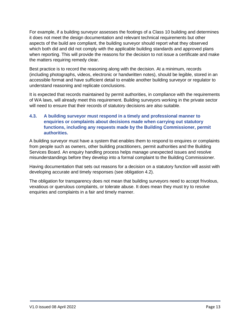For example, if a building surveyor assesses the footings of a Class 10 building and determines it does not meet the design documentation and relevant technical requirements but other aspects of the build are compliant, the building surveyor should report what they observed which both did and did not comply with the applicable building standards and approved plans when reporting. This will provide the reasons for the decision to not issue a certificate and make the matters requiring remedy clear.

Best practice is to record the reasoning along with the decision. At a minimum, records (including photographs, videos, electronic or handwritten notes), should be legible, stored in an accessible format and have sufficient detail to enable another building surveyor or regulator to understand reasoning and replicate conclusions.

It is expected that records maintained by permit authorities, in compliance with the requirements of WA laws, will already meet this requirement. Building surveyors working in the private sector will need to ensure that their records of statutory decisions are also suitable.

#### **4.3. A building surveyor must respond in a timely and professional manner to enquiries or complaints about decisions made when carrying out statutory functions, including any requests made by the Building Commissioner, permit authorities.**

A building surveyor must have a system that enables them to respond to enquires or complaints from people such as owners, other building practitioners, permit authorities and the Building Services Board. An enquiry handling process helps manage unexpected issues and resolve misunderstandings before they develop into a formal complaint to the Building Commissioner.

Having documentation that sets out reasons for a decision on a statutory function will assist with developing accurate and timely responses (see obligation 4.2).

<span id="page-14-0"></span>The obligation for transparency does not mean that building surveyors need to accept frivolous, vexatious or querulous complaints, or tolerate abuse. It does mean they must try to resolve enquiries and complaints in a fair and timely manner.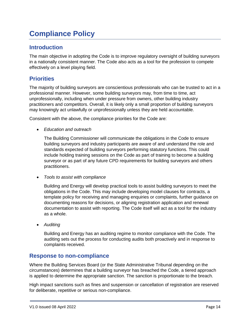# **Compliance Policy**

## <span id="page-15-0"></span>**Introduction**

The main objective in adopting the Code is to improve regulatory oversight of building surveyors in a nationally consistent manner. The Code also acts as a tool for the profession to compete effectively on a level playing field.

# <span id="page-15-1"></span>**Priorities**

The majority of building surveyors are conscientious professionals who can be trusted to act in a professional manner. However, some building surveyors may, from time to time, act unprofessionally, including when under pressure from owners, other building industry practitioners and competitors. Overall, it is likely only a small proportion of building surveyors may knowingly act unlawfully or unprofessionally unless they are held accountable.

Consistent with the above, the compliance priorities for the Code are:

• *Education and outreach* 

The Building Commissioner will communicate the obligations in the Code to ensure building surveyors and industry participants are aware of and understand the role and standards expected of building surveyors performing statutory functions. This could include holding training sessions on the Code as part of training to become a building surveyor or as part of any future CPD requirements for building surveyors and others practitioners.

• *Tools to assist with compliance* 

Building and Energy will develop practical tools to assist building surveyors to meet the obligations in the Code. This may include developing model clauses for contracts, a template policy for receiving and managing enquiries or complaints, further guidance on documenting reasons for decisions, or aligning registration application and renewal documentation to assist with reporting. The Code itself will act as a tool for the industry as a whole.

• *Auditing*

Building and Energy has an auditing regime to monitor compliance with the Code. The auditing sets out the process for conducting audits both proactively and in response to complaints received.

## <span id="page-15-2"></span>**Response to non-compliance**

Where the Building Services Board (or the State Administrative Tribunal depending on the circumstances) determines that a building surveyor has breached the Code, a tiered approach is applied to determine the appropriate sanction. The sanction is proportionate to the breach.

High impact sanctions such as fines and suspension or cancellation of registration are reserved for deliberate, repetitive or serious non-compliance.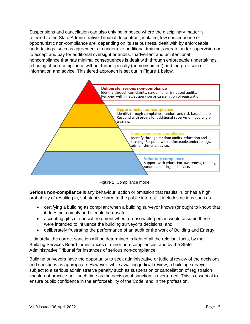Suspensions and cancellation can also only be imposed where the disciplinary matter is referred to the State Administrative Tribunal. In contrast, isolated, low consequence or opportunistic non-compliance are, depending on its seriousness, dealt with by enforceable undertakings, such as agreements to undertake additional training, operate under supervision or to accept and pay for additional oversight or audits. Inadvertent and unintentional noncompliance that has minimal consequences is dealt with through enforceable undertakings, a finding of non-compliance without further penalty (admonishment) and the provision of information and advice. This tiered approach is set out in Figure 1 below.



Figure 1: Compliance model

**Serious non-compliance** is any behaviour, action or omission that results in, or has a high probability of resulting in, substantive harm to the public interest. It includes actions such as:

- certifying a building as compliant when a building surveyor knows (or ought to know) that it does not comply and it could be unsafe,
- accepting gifts or special treatment when a reasonable person would assume these were intended to influence the building surveyor's decisions, and
- deliberately frustrating the performance of an audit or the work of Building and Energy.

Ultimately, the correct sanction will be determined in light of all the relevant facts, by the Building Services Board for instances of minor non-compliances, and by the State Administrative Tribunal for instances of serious non-compliance.

Building surveyors have the opportunity to seek administrative or judicial review of the decisions and sanctions as appropriate. However, while awaiting judicial review, a building surveyor subject to a serious administrative penalty such as suspension or cancellation of registration should not practice until such time as the decision of sanction is overturned. This is essential to ensure public confidence in the enforceability of the Code, and in the profession.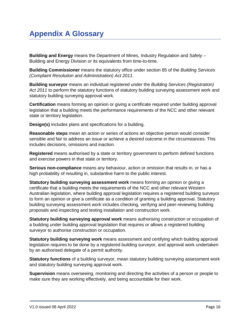# <span id="page-17-0"></span>**Appendix A Glossary**

**Building and Energy** means the Department of Mines, Industry Regulation and Safety – Building and Energy Division or its equivalents from time-to-time.

**Building Commissioner** means the statutory office under section 85 of the *Building Services (Complaint Resolution and Administration) Act 2011*.

**Building surveyor** means an individual registered under the *Building Services (Registration) Act 2011* to perform the statutory functions of statutory building surveying assessment work and statutory building surveying approval work.

**Certification** means forming an opinion or giving a certificate required under building approval legislation that a building meets the performance requirements of the NCC and other relevant state or territory legislation.

**Design(s)** includes plans and specifications for a building.

**Reasonable steps** mean an action or series of actions an objective person would consider sensible and fair to address an issue or achieve a desired outcome in the circumstances. This includes decisions, omissions and inaction.

**Registered** means authorised by a state or territory government to perform defined functions and exercise powers in that state or territory.

**Serious non-compliance** means any behaviour, action or omission that results in, or has a high probability of resulting in, substantive harm to the public interest.

**Statutory building surveying assessment work** means forming an opinion or giving a certificate that a building meets the requirements of the NCC and other relevant Western Australian legislation, where building approval legislation requires a registered building surveyor to form an opinion or give a certificate as a condition of granting a building approval. Statutory building surveying assessment work includes checking, verifying and peer-reviewing building proposals and inspecting and testing installation and construction work.

**Statutory building surveying approval work** means authorising construction or occupation of a building under building approval legislation that requires or allows a registered building surveyor to authorise construction or occupation.

**Statutory building surveying work** means assessment and certifying which building approval legislation requires to be done by a registered building surveyor, and approval work undertaken by an authorised delegate of a permit authority.

**Statutory functions** of a building surveyor, mean statutory building surveying assessment work and statutory building surveying approval work.

**Supervision** means overseeing, monitoring and directing the activities of a person or people to make sure they are working effectively, and being accountable for their work.